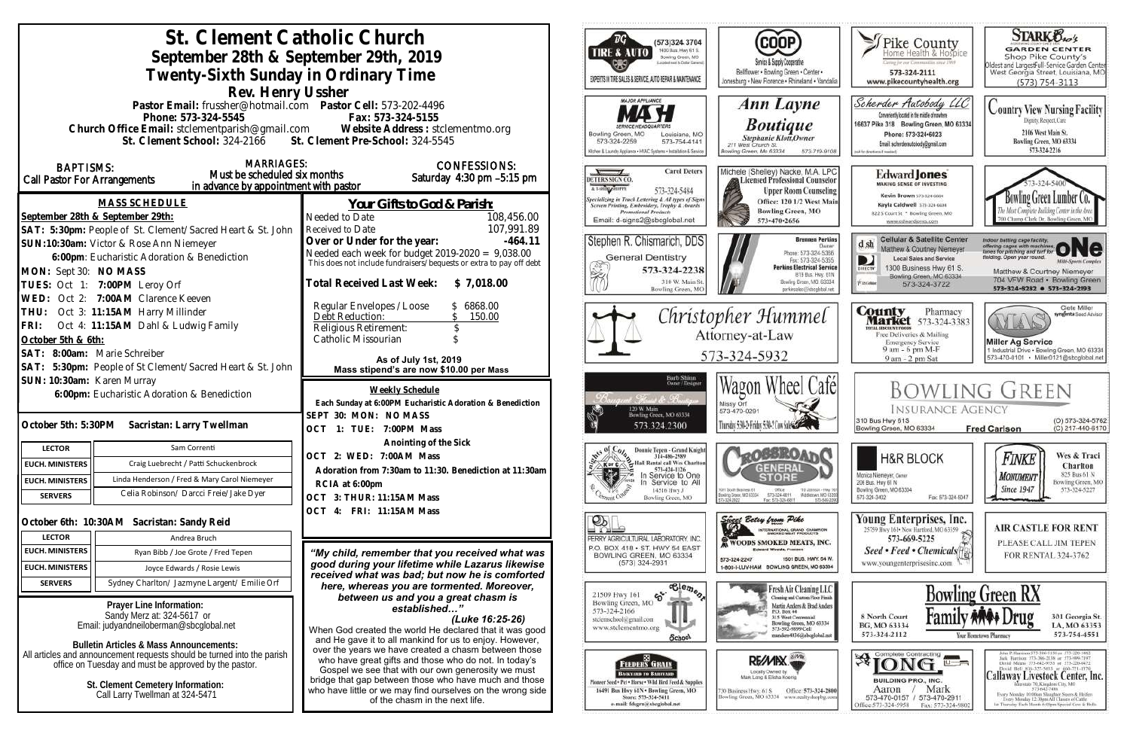| St. Clement Catholic Church<br>September 28th & September 29th, 2019<br>Twenty-Sixth Sunday in Ordinary Time                                                                                                                                                                             |                                                                                                                                                                                                                                                                                                                                                                     | ™G`<br>(573)324 3704<br>1400 Bus. Hwy 61 S.<br><b>TIRE &amp; AUTO</b><br>Bowling Green, MO<br>posted meet to Clutter Garrens<br>EXPERTS IN TIRE SALES & SERVICE, AUTO REPAIR & MAINTENANCE | <b>COOP</b><br>Service & Supply Cooperative<br>Bellflower . Bowling Green . Center .<br>Jonesburg . New Florence . Rhineland . Vandalia                                                                          | Seike County<br>aring for our Communities smot 1999<br>573-324-2111<br>www.pikecountyhealth.org                                                                                                                    | <b>STARK Oxo's</b><br><b>GARDEN CENTER</b><br>Shop Pike County's<br>Oldest and LargestFull-Service Garden Center<br>West Georgia Street, Louisiana, MO<br>$(573) 754 - 3113$                                                                                                                                                  |
|------------------------------------------------------------------------------------------------------------------------------------------------------------------------------------------------------------------------------------------------------------------------------------------|---------------------------------------------------------------------------------------------------------------------------------------------------------------------------------------------------------------------------------------------------------------------------------------------------------------------------------------------------------------------|--------------------------------------------------------------------------------------------------------------------------------------------------------------------------------------------|------------------------------------------------------------------------------------------------------------------------------------------------------------------------------------------------------------------|--------------------------------------------------------------------------------------------------------------------------------------------------------------------------------------------------------------------|-------------------------------------------------------------------------------------------------------------------------------------------------------------------------------------------------------------------------------------------------------------------------------------------------------------------------------|
| Rev. Henry Ussher<br>Pastor Email: frussher@hotmail.com    Pastor Cell: 573-202-4496<br>Fax: 573-324-5155<br>Phone: 573-324-5545<br>Church Office Email: stclementparish@gmail.com Website Address : stclementmo.org<br>St. Clement Pre-School: 324-5545<br>St. Clement School: 324-2166 |                                                                                                                                                                                                                                                                                                                                                                     | MAJOR APPLIANCE<br>Bowling Green, MO<br>Louisiana, MO<br>573-324-2259<br>573-754-4141<br>Ochen & Laundry Appliance - HVAC Systems - Installation & Service                                 | Ann Layne<br><b>Boutique</b><br><b>Stephanie Klott</b> , Owner<br>211 West Church St.<br>lowling Green, Mo 63334<br>573-719-9108                                                                                 | Scherder Autobody LLC<br>Conveniently located in the middle of nowhere<br>16637 Pike 318 Bowling Green, MO 63334<br>Phone: 573+324+6023<br>Email: scherderautobody@gmail.com<br>call for directions if meeted      | <b>Country View Nursing Facility</b><br>Dignity, Respect, Care<br>2106 West Main St.<br>Bowling Green, MO 63334<br>573-324-2216                                                                                                                                                                                               |
| <b>MARRIAGES:</b><br><b>BAPTISMS:</b><br>Must be scheduled six months<br><b>Call Pastor For Arrangements</b><br>in advance by appointment with pastor                                                                                                                                    | <b>CONFESSIONS:</b><br>Saturday 4:30 pm -5:15 pm                                                                                                                                                                                                                                                                                                                    | <b>Carol Deters</b><br>DETERS SIGN CO.<br>A LSHIN ABORE<br>573-324-5484                                                                                                                    | Michele (Shelley) Nacke, M.A. LPC<br>Licensed Professional Counselor<br><b>Upper Room Counseling</b>                                                                                                             | Edward <b>Jones</b><br><b>MAKING SENSE OF INVESTING</b><br>Kevin Brown 573-324-6604                                                                                                                                | Bowling Green Lumber Co.                                                                                                                                                                                                                                                                                                      |
| <b>MASS SCHEDULE</b><br>September 28th & September 29th:<br>SAT: 5:30pm: People of St. Clement/Sacred Heart & St. John                                                                                                                                                                   | Your Gifts to God & Parish:<br>Needed to Date<br>108,456.00<br>107,991.89<br>Received to Date                                                                                                                                                                                                                                                                       | Specializing in Truck Lettering & All types of Signs<br>Screen Printing, Embroidery, Trophy & Awards<br><b>Promotional Products</b><br>Email: d-signs2@sbcglobal.net                       | Office: 120 1/2 West Main<br><b>Bowling Green, MO</b><br>573-470-2656                                                                                                                                            | Kayla Caldwell 573-324-6604<br>822 S Court St * Bowling Green, MO<br>www.edwardjones.com                                                                                                                           | 700 Champ Clark Dr. Bowling Green, M                                                                                                                                                                                                                                                                                          |
| SUN:10:30am: Victor & Rose Ann Niemeyer<br>6:00pm: Eucharistic Adoration & Benediction<br>MON: Sept 30: NO MASS<br>TUES: Oct 1: 7:00PM Leroy Orf                                                                                                                                         | Over or Under for the year:<br>$-464.11$<br>Needed each week for budget $2019-2020 = 9,038.00$<br>This does not include fundraisers/bequests or extra to pay off debt<br>Total Received Last Week: \$7,018.00                                                                                                                                                       | Stephen R. Chismarich, DDS<br><b>General Dentistry</b><br>573-324-2238<br>310 W. Main St<br>Bowling Green, MC                                                                              | <b>Brennen Perkins</b><br>Dwner<br>Phone: 573-324-5366<br>Fax: 573-324-5355<br><b>Perkins Electrical Service</b><br>B19 Bus. Hwy. 61N<br>Bowling Green, MO. 63334<br>perkinselec@ishcolobal.net                  | <b>Cellular &amp; Satellite Center</b><br>$d \, sh$<br>Matthew & Courtney Niemeyer<br><b>Local Sales and Service</b><br>D<br>1300 Business Hwy 61 S.<br>Bowling Green, MO 63334<br><b>Xiatohie</b><br>573-324-3722 | Indian batting cage facility.<br>offering cages with machines ONC<br>lelding. Open year round.<br><b>Milti-Sparts Complex</b><br>Matthew & Courtney Niemeyer<br>704 VFW Road · Bowling Green<br>573-324-8282 0 573-324-2193                                                                                                   |
| WED: Oct 2: 7:00AM Clarence Keeven<br>THU: Oct 3: 11:15AM Harry Millinder<br>FRI: Oct 4: 11:15AM Dahl & Ludwig Family<br>October 5th & 6th:<br>SAT: 8:00am: Marie Schreiber                                                                                                              | Regular Envelopes / Loose<br>6868.00<br>Debt Reduction:<br>150.00<br>Religious Retirement:<br>Catholic Missourian<br>As of July 1st, 2019                                                                                                                                                                                                                           |                                                                                                                                                                                            | Christopher Hummel<br>Attorney-at-Law<br>573-324-5932                                                                                                                                                            | <b>County</b> Pharmacy<br><b>Market</b> 573-324-3383<br><b>ITAL BISCOUNT PROBE</b><br>Free Deliveries & Mailing<br><b>Emergency Service</b><br>9 am - 6 pm M-F<br>9 am - 2 pm Sat                                  | Clete Miller<br>syngenta Sood Adviso<br>AY LA<br><b>Miller Ag Service</b><br>1 Industrial Drive . Bowling Green, MO 63334<br>573-470-0101 • Miller0121@sbcglobal.net                                                                                                                                                          |
| SAT: 5:30pm: People of St Clement/Sacred Heart & St. John                                                                                                                                                                                                                                | Mass stipend's are now \$10.00 per Mass                                                                                                                                                                                                                                                                                                                             |                                                                                                                                                                                            |                                                                                                                                                                                                                  |                                                                                                                                                                                                                    |                                                                                                                                                                                                                                                                                                                               |
| SUN: 10:30am: Karen Murray<br>6:00pm: Eucharistic Adoration & Benediction<br>October 5th: 5:30PM Sacristan: Larry Twellman                                                                                                                                                               | Weekly Schedule<br>Each Sunday at 6:00PM Eucharistic Adoration & Benediction<br>SEPT 30: MON: NO MASS<br>OCT 1: TUE: 7:00PM Mass                                                                                                                                                                                                                                    | Barb Shinn<br>Ovoer/Designe<br>120 W. Main<br>Bowling Green, MO 63334<br>573.324.2300                                                                                                      | Wagon Wheel Cafél<br>Missy Orf<br>573-470-0291<br>Thursday 5:30-2: Friday 5:30-2 Cow Sales Company                                                                                                               | <b>INSURANCE AGENCY</b><br>310 Bus Hwy 61S<br>Bowling Green, MO 63334                                                                                                                                              | <b>BOWLING GREEN</b><br>(O) 573-324-5762<br>(C) 217-440-6170<br><b>Fred Carlson</b>                                                                                                                                                                                                                                           |
| Sam Correnti<br><b>LECTOR</b>                                                                                                                                                                                                                                                            | Anointing of the Sick                                                                                                                                                                                                                                                                                                                                               | pts of Colu<br>Donnie Tepen - Grand Knight                                                                                                                                                 |                                                                                                                                                                                                                  |                                                                                                                                                                                                                    |                                                                                                                                                                                                                                                                                                                               |
| Craig Luebrecht / Patti Schuckenbrock<br><b>EUCH. MINISTERS</b>                                                                                                                                                                                                                          | OCT 2: WED: 7:00AM Mass                                                                                                                                                                                                                                                                                                                                             | 314-486-2989<br>Hall Rental call Wes Charlton<br><b>KorC</b>                                                                                                                               | <b>LOBBROAT</b>                                                                                                                                                                                                  | <b>H&amp;R BLOCK</b>                                                                                                                                                                                               | Wes & Traci<br>Finke<br>Charlton                                                                                                                                                                                                                                                                                              |
| Linda Henderson / Fred & Mary Carol Niemeyer<br><b>EUCH. MINISTERS</b>                                                                                                                                                                                                                   | Adoration from 7:30am to 11:30. Benediction at 11:30am                                                                                                                                                                                                                                                                                                              | 573-424-1126<br>J.<br>In Service to One                                                                                                                                                    | <b>GENERAL</b>                                                                                                                                                                                                   | Monica Niemeyer, Owner                                                                                                                                                                                             | 825 Bus 61 N<br><b>MONUMENT</b>                                                                                                                                                                                                                                                                                               |
| Celia Robinson/ Darcci Freie/Jake Dyer<br><b>SERVERS</b>                                                                                                                                                                                                                                 | RCIA at 6:00pm<br>OCT 3: THUR: 11:15AM Mass<br>OCT 4: FRI: 11:15AM Mass                                                                                                                                                                                                                                                                                             | Service to All<br>14516 Hwy J<br>Bowling Green, MO                                                                                                                                         | 1001 South Business 61<br>Ofice:<br>110 Johnson - Hwy 16<br>573-324-6811<br>Middietown, NO 63395<br>Bowling Green, MD 63334<br>Fax: 575-324-6811<br>673-549-209                                                  | 206 Bus. Hwy 61 N<br>Bowling Green, MO 63334<br>573-324-3402<br>Fax: 573-324-5047                                                                                                                                  | Bowling Green, MO<br><b>Since 1947</b><br>573-324-5227                                                                                                                                                                                                                                                                        |
| October 6th: 10:30AM Sacristan: Sandy Reid                                                                                                                                                                                                                                               |                                                                                                                                                                                                                                                                                                                                                                     | $\mathcal{D}_\mathbb{R}$                                                                                                                                                                   | Since Betsy from Pike                                                                                                                                                                                            | Young Enterprises, Inc.                                                                                                                                                                                            | <b>AIR CASTLE FOR RENT</b>                                                                                                                                                                                                                                                                                                    |
| <b>LECTOR</b><br>Andrea Bruch                                                                                                                                                                                                                                                            |                                                                                                                                                                                                                                                                                                                                                                     | PERRY AGRICULTURAL LABORATORY, INC.                                                                                                                                                        | INTERNATIONAL GRAND CHAMPION<br><b>WOODS SMOKED MEATS, INC.</b>                                                                                                                                                  | 25759 Hwy 161 . New Hartford, MO 63359<br>573-669-5225                                                                                                                                                             | PLEASE CALL JIM TEPEN                                                                                                                                                                                                                                                                                                         |
| <b>EUCH. MINISTERS</b><br>Ryan Bibb / Joe Grote / Fred Tepen                                                                                                                                                                                                                             | "My child, remember that you received what was                                                                                                                                                                                                                                                                                                                      | P.O. BOX 418 . ST. HWY 54 EAST<br>BOWLING GREEN, MO 63334                                                                                                                                  | <b>Edward Woods, President</b>                                                                                                                                                                                   | Seed • Feed • Chemicals                                                                                                                                                                                            | FOR RENTAL 324-3762                                                                                                                                                                                                                                                                                                           |
| EUCH. MINISTERS<br>Joyce Edwards / Rosie Lewis                                                                                                                                                                                                                                           | good during your lifetime while Lazarus likewise                                                                                                                                                                                                                                                                                                                    | $(573)$ 324-2931                                                                                                                                                                           | 1501 BUS, HWY, 54 W.<br>573-324-2247<br>1-800-I-LUV-HAM BOWLING GREEN, MO 63334                                                                                                                                  | www.youngenterprisesinc.com                                                                                                                                                                                        |                                                                                                                                                                                                                                                                                                                               |
| <b>SERVERS</b><br>Sydney Charlton/ Jazmyne Largent/ Emilie Orf                                                                                                                                                                                                                           | received what was bad; but now he is comforted<br>here, whereas you are tormented. Moreover,                                                                                                                                                                                                                                                                        | $\overline{\text{e}^{\text{le}}_{\text{e}}\text{e}_{\eta_{\theta_{Q}}}}$                                                                                                                   | Fresh Air Cleaning LLC                                                                                                                                                                                           |                                                                                                                                                                                                                    |                                                                                                                                                                                                                                                                                                                               |
| Prayer Line Information:<br>Sandy Merz at: 324-5617 or<br>Email: judyandneiloberman@sbcglobal.net<br>Bulletin Articles & Mass Announcements:<br>All articles and announcement requests should be turned into the parish<br>office on Tuesday and must be approved by the pastor.         | between us and you a great chasm is<br>established'<br>(Luke 16:25-26)<br>When God created the world He declared that it was good<br>and He gave it to all mankind for us to enjoy. However,<br>over the years we have created a chasm between those<br>who have great gifts and those who do not. In today's<br>Gospel we see that with our own generosity we must | $\mathfrak{S}$<br>21509 Hwy 161<br>Bowling Green, MO<br>573-324-2166<br>stelemschool@gmail.com<br>www.stclementmo.org<br>School.<br>FEEDERS GRAIN<br>BACKYARD TO BARNVARD                  | Cleaning and Custom Floor Finish<br>Martin Anders & Brad Anders<br>P.O. Box 44<br>315 West Centennial<br>Bowling Green, MO 63334<br>573-592-9899 Cell<br>nanders4036@sbcglobal.net<br>RE/MIX<br>Locally Owned by | 8 North Court<br>BG, MO 63334<br>573-324-2112<br>$\mathfrak{B}$ [ONG $\blacksquare$<br>$\overline{u}$ $\overline{u}$                                                                                               | <b>Bowling Green RX</b><br>301 Georgia St.<br>LA, MO 63353<br>573-754-4551<br>Your Hometown Pharmacy<br>John P. Harrison 573-386-5130 or 573-220-1482<br>Jack Hurrison 573-386-2138 or 573-999-7197<br>David Means 573-642-9753 st 573-220-0472<br>David Bell 816-527-5633 or 660-721-1370<br>Callaway Livestock Center, Inc. |
| St. Clement Cemetery Information:<br>Call Larry Twellman at 324-5471                                                                                                                                                                                                                     | bridge that gap between those who have much and those<br>who have little or we may find ourselves on the wrong side<br>of the chasm in the next life.                                                                                                                                                                                                               | Finneer Seed + Pet . Horse . Wild Hird Feed & Supplies<br>16491 Bus Hwy 61N . Bowling Green, MO<br>Store: 573-324-5411<br>e-mail: fdsgrn@sbcglobal.net                                     | Office: 573-324-2800<br>130 Business Hwy. 61 S<br>Bowling Green, MO 63334 www.realtyshopbg.com                                                                                                                   | <b>BUILDING PRO., INC.</b><br>Mark<br>Aaron<br>573-470-0157 / 573-470-2911<br>Office:573-324-5958<br>Fax: 573-324-980                                                                                              | terstate 70, Kingdoni City, MO<br>573-642-7486<br>Every Monday 10:00am Sloughter Steers & Heifers<br>Every Merakov 12:30pm All Classes of Cattle<br>at Thursday Each Month 6:00pm Special Cow & Bulls.                                                                                                                        |